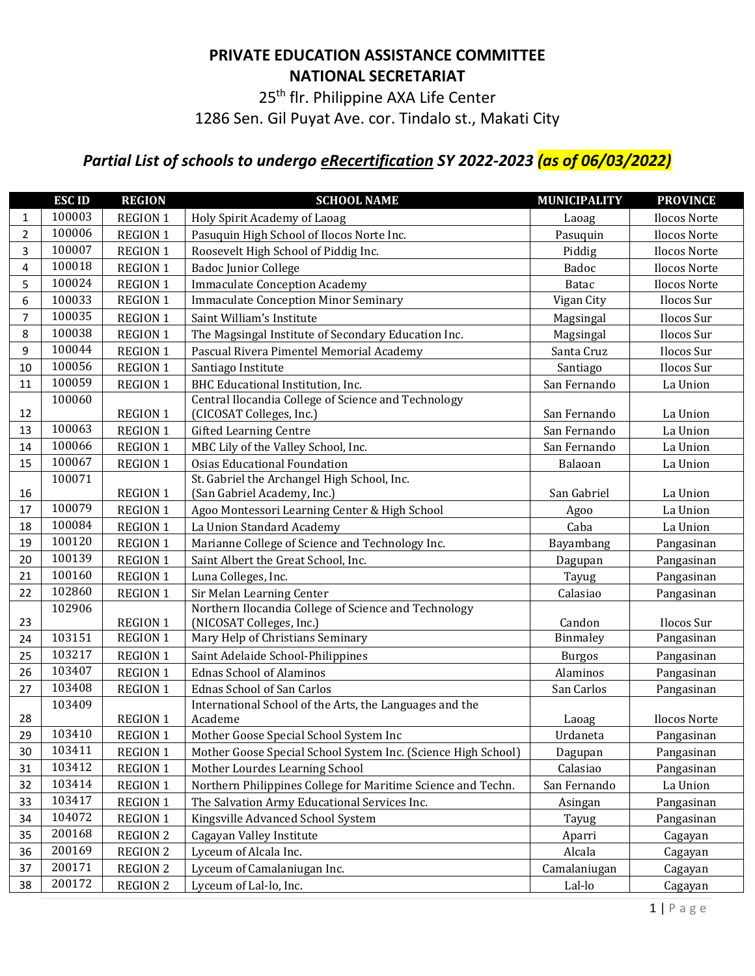## **PRIVATE EDUCATION ASSISTANCE COMMITTEE NATIONAL SECRETARIAT**

25<sup>th</sup> flr. Philippine AXA Life Center

1286 Sen. Gil Puyat Ave. cor. Tindalo st., Makati City

## *Partial List of schools to undergo eRecertification SY 2022-2023 (as of 06/03/2022)*

|                | <b>ESCID</b> | <b>REGION</b>   | <b>SCHOOL NAME</b>                                            | <b>MUNICIPALITY</b> | <b>PROVINCE</b>     |
|----------------|--------------|-----------------|---------------------------------------------------------------|---------------------|---------------------|
| $\mathbf{1}$   | 100003       | <b>REGION 1</b> | Holy Spirit Academy of Laoag                                  | Laoag               | Ilocos Norte        |
| $\overline{2}$ | 100006       | <b>REGION 1</b> | Pasuquin High School of Ilocos Norte Inc.                     | Pasuquin            | Ilocos Norte        |
| 3              | 100007       | <b>REGION 1</b> | Roosevelt High School of Piddig Inc.                          | Piddig              | Ilocos Norte        |
| 4              | 100018       | <b>REGION 1</b> | <b>Badoc Junior College</b>                                   | <b>Badoc</b>        | Ilocos Norte        |
| 5              | 100024       | <b>REGION 1</b> | <b>Immaculate Conception Academy</b>                          | <b>Batac</b>        | Ilocos Norte        |
| 6              | 100033       | <b>REGION 1</b> | <b>Immaculate Conception Minor Seminary</b>                   | Vigan City          | Ilocos Sur          |
| $\overline{7}$ | 100035       | <b>REGION 1</b> | Saint William's Institute                                     | Magsingal           | Ilocos Sur          |
| 8              | 100038       | <b>REGION 1</b> | The Magsingal Institute of Secondary Education Inc.           | Magsingal           | Ilocos Sur          |
| 9              | 100044       | <b>REGION 1</b> | Pascual Rivera Pimentel Memorial Academy                      | Santa Cruz          | Ilocos Sur          |
| 10             | 100056       | <b>REGION 1</b> | Santiago Institute                                            | Santiago            | Ilocos Sur          |
| 11             | 100059       | <b>REGION 1</b> | BHC Educational Institution, Inc.                             | San Fernando        | La Union            |
|                | 100060       |                 | Central Ilocandia College of Science and Technology           |                     |                     |
| 12             |              | <b>REGION 1</b> | (CICOSAT Colleges, Inc.)                                      | San Fernando        | La Union            |
| 13             | 100063       | <b>REGION 1</b> | <b>Gifted Learning Centre</b>                                 | San Fernando        | La Union            |
| 14             | 100066       | <b>REGION 1</b> | MBC Lily of the Valley School, Inc.                           | San Fernando        | La Union            |
| 15             | 100067       | <b>REGION 1</b> | <b>Osias Educational Foundation</b>                           | Balaoan             | La Union            |
|                | 100071       |                 | St. Gabriel the Archangel High School, Inc.                   |                     |                     |
| 16             |              | <b>REGION 1</b> | (San Gabriel Academy, Inc.)                                   | San Gabriel         | La Union            |
| 17             | 100079       | <b>REGION 1</b> | Agoo Montessori Learning Center & High School                 | Agoo                | La Union            |
| 18             | 100084       | <b>REGION 1</b> | La Union Standard Academy                                     | Caba                | La Union            |
| 19             | 100120       | <b>REGION 1</b> | Marianne College of Science and Technology Inc.               | Bayambang           | Pangasinan          |
| 20             | 100139       | <b>REGION 1</b> | Saint Albert the Great School, Inc.                           | Dagupan             | Pangasinan          |
| 21             | 100160       | <b>REGION 1</b> | Luna Colleges, Inc.                                           | Tayug               | Pangasinan          |
| 22             | 102860       | <b>REGION 1</b> | Sir Melan Learning Center                                     | Calasiao            | Pangasinan          |
|                | 102906       |                 | Northern Ilocandia College of Science and Technology          |                     |                     |
| 23             |              | <b>REGION 1</b> | (NICOSAT Colleges, Inc.)                                      | Candon              | Ilocos Sur          |
| 24             | 103151       | <b>REGION 1</b> | Mary Help of Christians Seminary                              | Binmaley            | Pangasinan          |
| 25             | 103217       | <b>REGION 1</b> | Saint Adelaide School-Philippines                             | <b>Burgos</b>       | Pangasinan          |
| 26             | 103407       | <b>REGION 1</b> | <b>Ednas School of Alaminos</b>                               | Alaminos            | Pangasinan          |
| 27             | 103408       | <b>REGION 1</b> | Ednas School of San Carlos                                    | San Carlos          | Pangasinan          |
|                | 103409       |                 | International School of the Arts, the Languages and the       |                     |                     |
| 28             |              | <b>REGION 1</b> | Academe                                                       | Laoag               | <b>Ilocos Norte</b> |
| 29             | 103410       | <b>REGION 1</b> | Mother Goose Special School System Inc                        | Urdaneta            | Pangasinan          |
| 30             | 103411       | <b>REGION 1</b> | Mother Goose Special School System Inc. (Science High School) | Dagupan             | Pangasinan          |
| 31             | 103412       | <b>REGION 1</b> | Mother Lourdes Learning School                                | Calasiao            | Pangasinan          |
| 32             | 103414       | <b>REGION 1</b> | Northern Philippines College for Maritime Science and Techn.  | San Fernando        | La Union            |
| 33             | 103417       | <b>REGION 1</b> | The Salvation Army Educational Services Inc.                  | Asingan             | Pangasinan          |
| 34             | 104072       | <b>REGION 1</b> | Kingsville Advanced School System                             | Tayug               | Pangasinan          |
| 35             | 200168       | <b>REGION 2</b> | Cagayan Valley Institute                                      | Aparri              | Cagayan             |
| 36             | 200169       | <b>REGION 2</b> | Lyceum of Alcala Inc.                                         | Alcala              | Cagayan             |
| 37             | 200171       | <b>REGION 2</b> | Lyceum of Camalaniugan Inc.                                   | Camalaniugan        | Cagayan             |
| 38             | 200172       | <b>REGION 2</b> | Lyceum of Lal-lo, Inc.                                        | Lal-lo              | Cagayan             |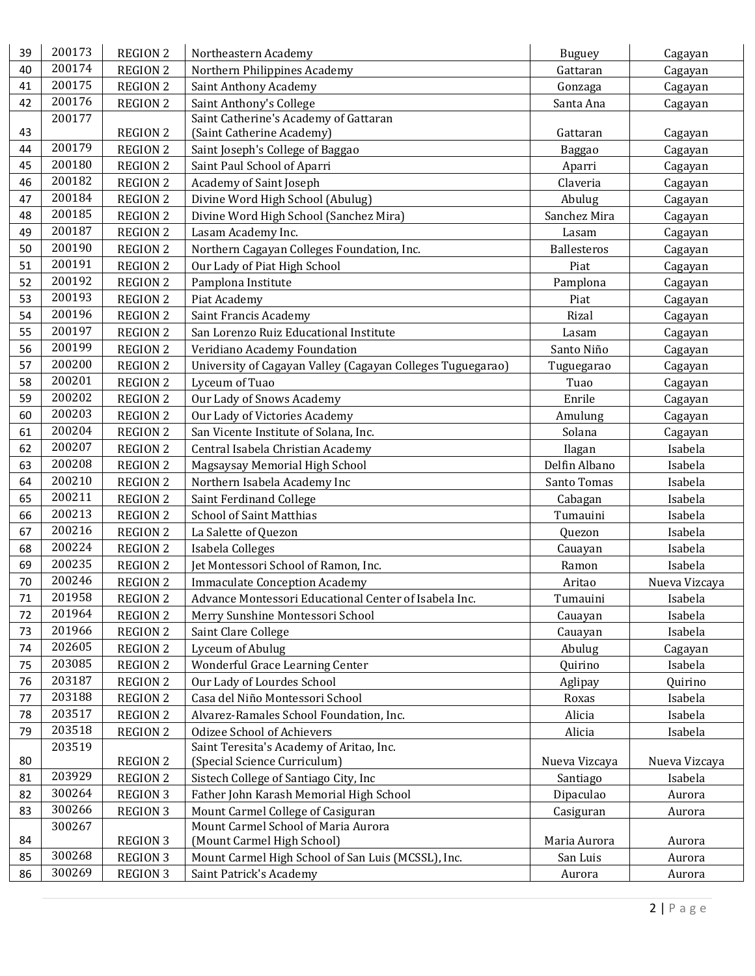| 39 | 200173 | <b>REGION 2</b> | Northeastern Academy                                       | <b>Buguey</b> | Cagayan       |
|----|--------|-----------------|------------------------------------------------------------|---------------|---------------|
| 40 | 200174 | <b>REGION 2</b> | Northern Philippines Academy                               | Gattaran      | Cagayan       |
| 41 | 200175 | <b>REGION 2</b> | Saint Anthony Academy                                      | Gonzaga       | Cagayan       |
| 42 | 200176 | <b>REGION 2</b> | Saint Anthony's College                                    | Santa Ana     | Cagayan       |
|    | 200177 |                 | Saint Catherine's Academy of Gattaran                      |               |               |
| 43 |        | <b>REGION 2</b> | (Saint Catherine Academy)                                  | Gattaran      | Cagayan       |
| 44 | 200179 | <b>REGION 2</b> | Saint Joseph's College of Baggao                           | Baggao        | Cagayan       |
| 45 | 200180 | <b>REGION 2</b> | Saint Paul School of Aparri                                | Aparri        | Cagayan       |
| 46 | 200182 | <b>REGION 2</b> | Academy of Saint Joseph                                    | Claveria      | Cagayan       |
| 47 | 200184 | <b>REGION 2</b> | Divine Word High School (Abulug)                           | Abulug        | Cagayan       |
| 48 | 200185 | <b>REGION 2</b> | Divine Word High School (Sanchez Mira)                     | Sanchez Mira  | Cagayan       |
| 49 | 200187 | <b>REGION 2</b> | Lasam Academy Inc.                                         | Lasam         | Cagayan       |
| 50 | 200190 | <b>REGION 2</b> | Northern Cagayan Colleges Foundation, Inc.                 | Ballesteros   | Cagayan       |
| 51 | 200191 | <b>REGION 2</b> | Our Lady of Piat High School                               | Piat          | Cagayan       |
| 52 | 200192 | <b>REGION 2</b> | Pamplona Institute                                         | Pamplona      | Cagayan       |
| 53 | 200193 | <b>REGION 2</b> | Piat Academy                                               | Piat          | Cagayan       |
| 54 | 200196 | <b>REGION 2</b> | Saint Francis Academy                                      | Rizal         | Cagayan       |
| 55 | 200197 | <b>REGION 2</b> | San Lorenzo Ruiz Educational Institute                     | Lasam         | Cagayan       |
| 56 | 200199 | <b>REGION 2</b> | Veridiano Academy Foundation                               | Santo Niño    | Cagayan       |
| 57 | 200200 | <b>REGION 2</b> | University of Cagayan Valley (Cagayan Colleges Tuguegarao) | Tuguegarao    | Cagayan       |
| 58 | 200201 | <b>REGION 2</b> | Lyceum of Tuao                                             | Tuao          | Cagayan       |
| 59 | 200202 | <b>REGION 2</b> | Our Lady of Snows Academy                                  | Enrile        | Cagayan       |
| 60 | 200203 | <b>REGION 2</b> | Our Lady of Victories Academy                              | Amulung       | Cagayan       |
| 61 | 200204 | <b>REGION 2</b> | San Vicente Institute of Solana, Inc.                      | Solana        | Cagayan       |
| 62 | 200207 | <b>REGION 2</b> | Central Isabela Christian Academy                          |               | Isabela       |
| 63 | 200208 |                 |                                                            | Ilagan        |               |
| 64 | 200210 | <b>REGION 2</b> | Magsaysay Memorial High School                             | Delfin Albano | Isabela       |
|    | 200211 | <b>REGION 2</b> | Northern Isabela Academy Inc                               | Santo Tomas   | Isabela       |
| 65 | 200213 | <b>REGION 2</b> | Saint Ferdinand College                                    | Cabagan       | Isabela       |
| 66 | 200216 | <b>REGION 2</b> | <b>School of Saint Matthias</b>                            | Tumauini      | Isabela       |
| 67 | 200224 | <b>REGION 2</b> | La Salette of Quezon                                       | Quezon        | Isabela       |
| 68 | 200235 | <b>REGION 2</b> | Isabela Colleges                                           | Cauayan       | Isabela       |
| 69 | 200246 | <b>REGION 2</b> | Jet Montessori School of Ramon, Inc.                       | Ramon         | Isabela       |
| 70 |        | <b>REGION 2</b> | <b>Immaculate Conception Academy</b>                       | Aritao        | Nueva Vizcaya |
| 71 | 201958 | <b>REGION 2</b> | Advance Montessori Educational Center of Isabela Inc.      | Tumauini      | Isabela       |
| 72 | 201964 | <b>REGION 2</b> | Merry Sunshine Montessori School                           | Cauayan       | Isabela       |
| 73 | 201966 | <b>REGION 2</b> | Saint Clare College                                        | Cauayan       | Isabela       |
| 74 | 202605 | <b>REGION 2</b> | Lyceum of Abulug                                           | Abulug        | Cagayan       |
| 75 | 203085 | <b>REGION 2</b> | Wonderful Grace Learning Center                            | Quirino       | Isabela       |
| 76 | 203187 | <b>REGION 2</b> | Our Lady of Lourdes School                                 | Aglipay       | Quirino       |
| 77 | 203188 | <b>REGION 2</b> | Casa del Niño Montessori School                            | Roxas         | Isabela       |
| 78 | 203517 | <b>REGION 2</b> | Alvarez-Ramales School Foundation, Inc.                    | Alicia        | Isabela       |
| 79 | 203518 | <b>REGION 2</b> | <b>Odizee School of Achievers</b>                          | Alicia        | Isabela       |
|    | 203519 |                 | Saint Teresita's Academy of Aritao, Inc.                   |               |               |
| 80 |        | <b>REGION 2</b> | (Special Science Curriculum)                               | Nueva Vizcaya | Nueva Vizcaya |
| 81 | 203929 | <b>REGION 2</b> | Sistech College of Santiago City, Inc                      | Santiago      | Isabela       |
| 82 | 300264 | <b>REGION 3</b> | Father John Karash Memorial High School                    | Dipaculao     | Aurora        |
| 83 | 300266 | <b>REGION 3</b> | Mount Carmel College of Casiguran                          | Casiguran     | Aurora        |
|    | 300267 |                 | Mount Carmel School of Maria Aurora                        |               |               |
| 84 | 300268 | <b>REGION 3</b> | (Mount Carmel High School)                                 | Maria Aurora  | Aurora        |
| 85 |        | <b>REGION 3</b> | Mount Carmel High School of San Luis (MCSSL), Inc.         | San Luis      | Aurora        |
| 86 | 300269 | <b>REGION 3</b> | Saint Patrick's Academy                                    | Aurora        | Aurora        |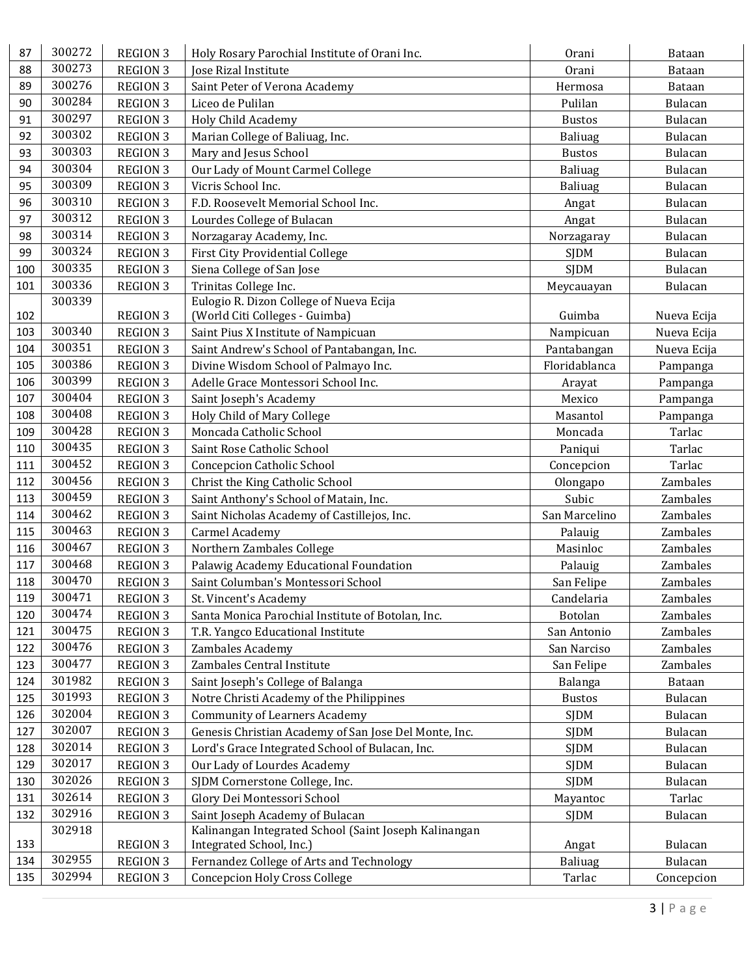| 87  | 300272           | <b>REGION 3</b>                    | Holy Rosary Parochial Institute of Orani Inc.         | Orani               | Bataan         |
|-----|------------------|------------------------------------|-------------------------------------------------------|---------------------|----------------|
| 88  | 300273           | <b>REGION 3</b>                    | <b>Jose Rizal Institute</b>                           | Orani               | Bataan         |
| 89  | 300276           | <b>REGION 3</b>                    | Saint Peter of Verona Academy                         | Hermosa             | Bataan         |
| 90  | 300284           | <b>REGION 3</b>                    | Liceo de Pulilan                                      | Pulilan             | Bulacan        |
| 91  | 300297           | <b>REGION 3</b>                    | <b>Holy Child Academy</b>                             | <b>Bustos</b>       | Bulacan        |
| 92  | 300302           | <b>REGION 3</b>                    | Marian College of Baliuag, Inc.                       | Baliuag             | <b>Bulacan</b> |
| 93  | 300303           | <b>REGION 3</b>                    | Mary and Jesus School                                 | <b>Bustos</b>       | Bulacan        |
| 94  | 300304           | <b>REGION 3</b>                    | Our Lady of Mount Carmel College                      | Baliuag             | Bulacan        |
| 95  | 300309           | <b>REGION 3</b>                    | Vicris School Inc.                                    | Baliuag             | <b>Bulacan</b> |
| 96  | 300310           | <b>REGION 3</b>                    | F.D. Roosevelt Memorial School Inc.                   | Angat               | <b>Bulacan</b> |
| 97  | 300312           | <b>REGION 3</b>                    | Lourdes College of Bulacan                            | Angat               | Bulacan        |
| 98  | 300314           | <b>REGION 3</b>                    | Norzagaray Academy, Inc.                              | Norzagaray          | Bulacan        |
| 99  | 300324           | <b>REGION 3</b>                    | <b>First City Providential College</b>                | <b>SJDM</b>         | Bulacan        |
| 100 | 300335           | <b>REGION 3</b>                    | Siena College of San Jose                             | <b>SIDM</b>         | Bulacan        |
| 101 | 300336           | <b>REGION 3</b>                    | Trinitas College Inc.                                 | Meycauayan          | Bulacan        |
|     | 300339           |                                    | Eulogio R. Dizon College of Nueva Ecija               |                     |                |
| 102 |                  | <b>REGION 3</b>                    | (World Citi Colleges - Guimba)                        | Guimba              | Nueva Ecija    |
| 103 | 300340           | <b>REGION 3</b>                    | Saint Pius X Institute of Nampicuan                   | Nampicuan           | Nueva Ecija    |
| 104 | 300351           | <b>REGION 3</b>                    | Saint Andrew's School of Pantabangan, Inc.            | Pantabangan         | Nueva Ecija    |
| 105 | 300386           | <b>REGION 3</b>                    | Divine Wisdom School of Palmayo Inc.                  | Floridablanca       | Pampanga       |
| 106 | 300399           | <b>REGION 3</b>                    | Adelle Grace Montessori School Inc.                   | Arayat              | Pampanga       |
| 107 | 300404           | <b>REGION 3</b>                    | Saint Joseph's Academy                                | Mexico              | Pampanga       |
| 108 | 300408           | <b>REGION 3</b>                    | Holy Child of Mary College                            | Masantol            | Pampanga       |
| 109 | 300428           | <b>REGION 3</b>                    | Moncada Catholic School                               | Moncada             | Tarlac         |
| 110 | 300435           | <b>REGION 3</b>                    | Saint Rose Catholic School                            | Paniqui             | Tarlac         |
| 111 | 300452           | <b>REGION 3</b>                    | Concepcion Catholic School                            | Concepcion          | Tarlac         |
| 112 | 300456           | <b>REGION 3</b>                    | Christ the King Catholic School                       | Olongapo            | Zambales       |
| 113 | 300459           | <b>REGION 3</b>                    | Saint Anthony's School of Matain, Inc.                | Subic               | Zambales       |
| 114 | 300462           | <b>REGION 3</b>                    | Saint Nicholas Academy of Castillejos, Inc.           | San Marcelino       | Zambales       |
| 115 | 300463           |                                    | <b>Carmel Academy</b>                                 |                     | Zambales       |
| 116 | 300467           | <b>REGION 3</b><br><b>REGION 3</b> | Northern Zambales College                             | Palauig<br>Masinloc | Zambales       |
| 117 | 300468           |                                    |                                                       |                     |                |
| 118 | 300470           | <b>REGION 3</b>                    | Palawig Academy Educational Foundation                | Palauig             | Zambales       |
|     | 300471           | <b>REGION 3</b>                    | Saint Columban's Montessori School                    | San Felipe          | Zambales       |
| 119 | 300474           | <b>REGION 3</b>                    | St. Vincent's Academy                                 | Candelaria          | Zambales       |
| 120 | 300475           | <b>REGION 3</b>                    | Santa Monica Parochial Institute of Botolan, Inc.     | Botolan             | Zambales       |
| 121 | 300476           | <b>REGION 3</b>                    | T.R. Yangco Educational Institute                     | San Antonio         | Zambales       |
| 122 | 300477           | <b>REGION 3</b>                    | Zambales Academy                                      | San Narciso         | Zambales       |
| 123 | 301982           | <b>REGION 3</b>                    | Zambales Central Institute                            | San Felipe          | Zambales       |
| 124 | 301993           | <b>REGION 3</b>                    | Saint Joseph's College of Balanga                     | Balanga             | Bataan         |
| 125 |                  | <b>REGION 3</b>                    | Notre Christi Academy of the Philippines              | <b>Bustos</b>       | Bulacan        |
| 126 | 302004<br>302007 | <b>REGION 3</b>                    | <b>Community of Learners Academy</b>                  | <b>SJDM</b>         | Bulacan        |
| 127 |                  | <b>REGION 3</b>                    | Genesis Christian Academy of San Jose Del Monte, Inc. | <b>SJDM</b>         | Bulacan        |
| 128 | 302014           | <b>REGION 3</b>                    | Lord's Grace Integrated School of Bulacan, Inc.       | <b>SJDM</b>         | Bulacan        |
| 129 | 302017           | <b>REGION 3</b>                    | Our Lady of Lourdes Academy                           | <b>SJDM</b>         | Bulacan        |
| 130 | 302026           | <b>REGION 3</b>                    | SJDM Cornerstone College, Inc.                        | <b>SJDM</b>         | Bulacan        |
| 131 | 302614           | <b>REGION 3</b>                    | Glory Dei Montessori School                           | Mayantoc            | Tarlac         |
| 132 | 302916           | <b>REGION 3</b>                    | Saint Joseph Academy of Bulacan                       | <b>SJDM</b>         | Bulacan        |
|     | 302918           |                                    | Kalinangan Integrated School (Saint Joseph Kalinangan |                     |                |
| 133 | 302955           | <b>REGION 3</b>                    | Integrated School, Inc.)                              | Angat               | Bulacan        |
| 134 |                  | <b>REGION 3</b>                    | Fernandez College of Arts and Technology              | Baliuag             | Bulacan        |
| 135 | 302994           | <b>REGION 3</b>                    | <b>Concepcion Holy Cross College</b>                  | Tarlac              | Concepcion     |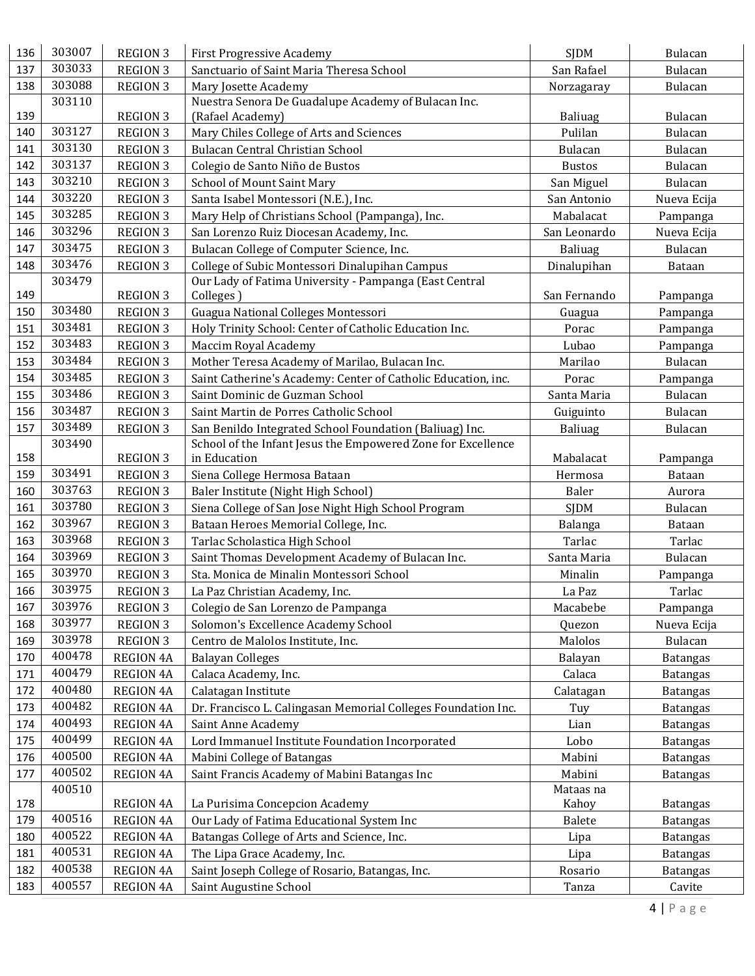| 136 | 303007 | <b>REGION 3</b>  | <b>First Progressive Academy</b>                              | <b>SJDM</b>    | Bulacan         |
|-----|--------|------------------|---------------------------------------------------------------|----------------|-----------------|
| 137 | 303033 | <b>REGION 3</b>  | Sanctuario of Saint Maria Theresa School                      | San Rafael     | Bulacan         |
| 138 | 303088 | <b>REGION 3</b>  | Mary Josette Academy                                          | Norzagaray     | Bulacan         |
|     | 303110 |                  | Nuestra Senora De Guadalupe Academy of Bulacan Inc.           |                |                 |
| 139 |        | <b>REGION 3</b>  | (Rafael Academy)                                              | Baliuag        | <b>Bulacan</b>  |
| 140 | 303127 | <b>REGION 3</b>  | Mary Chiles College of Arts and Sciences                      | Pulilan        | Bulacan         |
| 141 | 303130 | <b>REGION 3</b>  | Bulacan Central Christian School                              | <b>Bulacan</b> | Bulacan         |
| 142 | 303137 | <b>REGION 3</b>  | Colegio de Santo Niño de Bustos                               | <b>Bustos</b>  | Bulacan         |
| 143 | 303210 | <b>REGION 3</b>  | School of Mount Saint Mary                                    | San Miguel     | Bulacan         |
| 144 | 303220 | <b>REGION 3</b>  | Santa Isabel Montessori (N.E.), Inc.                          | San Antonio    | Nueva Ecija     |
| 145 | 303285 | <b>REGION 3</b>  | Mary Help of Christians School (Pampanga), Inc.               | Mabalacat      | Pampanga        |
| 146 | 303296 | <b>REGION 3</b>  | San Lorenzo Ruiz Diocesan Academy, Inc.                       | San Leonardo   | Nueva Ecija     |
| 147 | 303475 | <b>REGION 3</b>  | Bulacan College of Computer Science, Inc.                     | Baliuag        | Bulacan         |
| 148 | 303476 | <b>REGION 3</b>  | College of Subic Montessori Dinalupihan Campus                | Dinalupihan    | Bataan          |
|     | 303479 |                  | Our Lady of Fatima University - Pampanga (East Central        |                |                 |
| 149 |        | <b>REGION 3</b>  | Colleges)                                                     | San Fernando   | Pampanga        |
| 150 | 303480 | <b>REGION 3</b>  | Guagua National Colleges Montessori                           | Guagua         | Pampanga        |
| 151 | 303481 | <b>REGION 3</b>  | Holy Trinity School: Center of Catholic Education Inc.        | Porac          | Pampanga        |
| 152 | 303483 | <b>REGION 3</b>  | Maccim Royal Academy                                          | Lubao          | Pampanga        |
| 153 | 303484 | <b>REGION 3</b>  | Mother Teresa Academy of Marilao, Bulacan Inc.                | Marilao        | Bulacan         |
| 154 | 303485 | <b>REGION 3</b>  | Saint Catherine's Academy: Center of Catholic Education, inc. | Porac          | Pampanga        |
| 155 | 303486 | <b>REGION 3</b>  | Saint Dominic de Guzman School                                | Santa Maria    | Bulacan         |
| 156 | 303487 | <b>REGION 3</b>  | Saint Martin de Porres Catholic School                        | Guiguinto      | Bulacan         |
| 157 | 303489 | <b>REGION 3</b>  | San Benildo Integrated School Foundation (Baliuag) Inc.       | Baliuag        | Bulacan         |
|     | 303490 |                  | School of the Infant Jesus the Empowered Zone for Excellence  |                |                 |
| 158 |        | <b>REGION 3</b>  | in Education                                                  | Mabalacat      | Pampanga        |
| 159 | 303491 | <b>REGION 3</b>  | Siena College Hermosa Bataan                                  | Hermosa        | Bataan          |
| 160 | 303763 | <b>REGION 3</b>  | Baler Institute (Night High School)                           | Baler          | Aurora          |
| 161 | 303780 | <b>REGION 3</b>  | Siena College of San Jose Night High School Program           | <b>SJDM</b>    | Bulacan         |
| 162 | 303967 | <b>REGION 3</b>  | Bataan Heroes Memorial College, Inc.                          | Balanga        | Bataan          |
| 163 | 303968 | <b>REGION 3</b>  | Tarlac Scholastica High School                                | Tarlac         | Tarlac          |
| 164 | 303969 | <b>REGION 3</b>  | Saint Thomas Development Academy of Bulacan Inc.              | Santa Maria    | <b>Bulacan</b>  |
| 165 | 303970 | <b>REGION 3</b>  | Sta. Monica de Minalin Montessori School                      | Minalin        | Pampanga        |
| 166 | 303975 | <b>REGION 3</b>  | La Paz Christian Academy, Inc.                                | La Paz         | Tarlac          |
| 167 | 303976 | <b>REGION 3</b>  | Colegio de San Lorenzo de Pampanga                            | Macabebe       | Pampanga        |
| 168 | 303977 | <b>REGION 3</b>  | Solomon's Excellence Academy School                           | Quezon         | Nueva Ecija     |
| 169 | 303978 | <b>REGION 3</b>  | Centro de Malolos Institute, Inc.                             | Malolos        | Bulacan         |
| 170 | 400478 | <b>REGION 4A</b> | <b>Balayan Colleges</b>                                       | Balayan        | <b>Batangas</b> |
| 171 | 400479 | <b>REGION 4A</b> | Calaca Academy, Inc.                                          | Calaca         | <b>Batangas</b> |
| 172 | 400480 | <b>REGION 4A</b> | Calatagan Institute                                           | Calatagan      | <b>Batangas</b> |
| 173 | 400482 | <b>REGION 4A</b> | Dr. Francisco L. Calingasan Memorial Colleges Foundation Inc. | Tuy            | <b>Batangas</b> |
| 174 | 400493 | <b>REGION 4A</b> | Saint Anne Academy                                            | Lian           | <b>Batangas</b> |
| 175 | 400499 | <b>REGION 4A</b> | Lord Immanuel Institute Foundation Incorporated               | Lobo           | <b>Batangas</b> |
| 176 | 400500 | <b>REGION 4A</b> | Mabini College of Batangas                                    | Mabini         | <b>Batangas</b> |
| 177 | 400502 | <b>REGION 4A</b> | Saint Francis Academy of Mabini Batangas Inc                  | Mabini         | <b>Batangas</b> |
|     | 400510 |                  |                                                               | Mataas na      |                 |
| 178 |        | <b>REGION 4A</b> | La Purisima Concepcion Academy                                | Kahoy          | <b>Batangas</b> |
| 179 | 400516 | <b>REGION 4A</b> | Our Lady of Fatima Educational System Inc                     | Balete         | <b>Batangas</b> |
| 180 | 400522 | <b>REGION 4A</b> | Batangas College of Arts and Science, Inc.                    | Lipa           | <b>Batangas</b> |
| 181 | 400531 | <b>REGION 4A</b> | The Lipa Grace Academy, Inc.                                  | Lipa           | <b>Batangas</b> |
| 182 | 400538 | <b>REGION 4A</b> | Saint Joseph College of Rosario, Batangas, Inc.               | Rosario        | <b>Batangas</b> |
| 183 | 400557 | <b>REGION 4A</b> | Saint Augustine School                                        | Tanza          | Cavite          |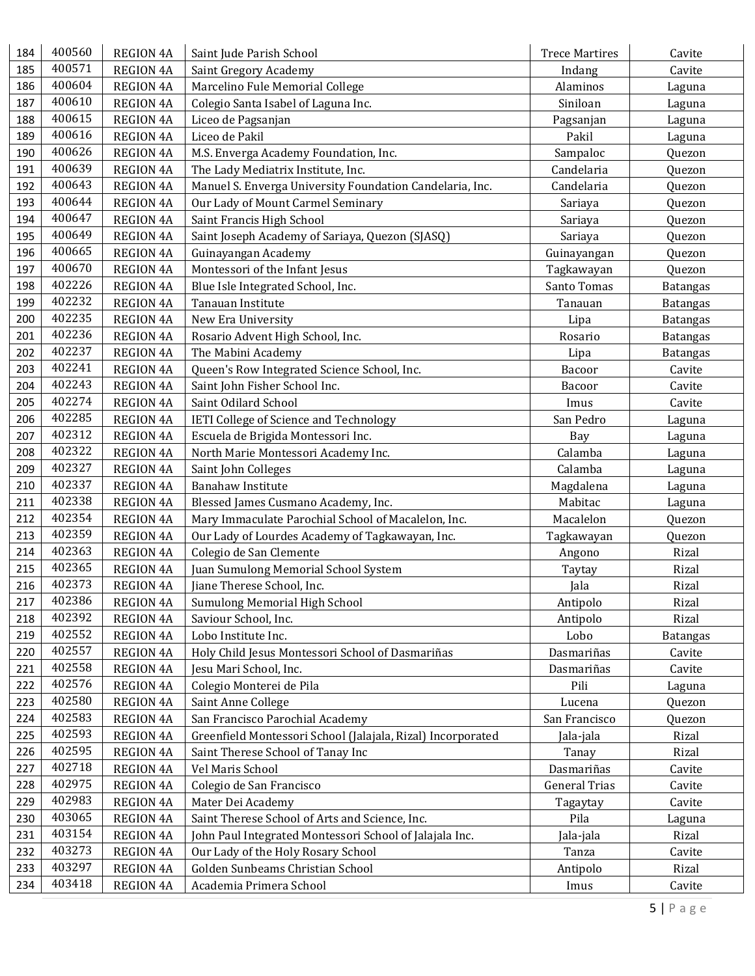| 184 | 400560 | <b>REGION 4A</b> | Saint Jude Parish School                                    | <b>Trece Martires</b> | Cavite          |
|-----|--------|------------------|-------------------------------------------------------------|-----------------------|-----------------|
| 185 | 400571 | <b>REGION 4A</b> | Saint Gregory Academy                                       | Indang                | Cavite          |
| 186 | 400604 | <b>REGION 4A</b> | Marcelino Fule Memorial College                             | Alaminos              | Laguna          |
| 187 | 400610 | <b>REGION 4A</b> | Colegio Santa Isabel of Laguna Inc.                         | Siniloan              | Laguna          |
| 188 | 400615 | <b>REGION 4A</b> | Liceo de Pagsanjan                                          | Pagsanjan             | Laguna          |
| 189 | 400616 | <b>REGION 4A</b> | Liceo de Pakil                                              | Pakil                 | Laguna          |
| 190 | 400626 | <b>REGION 4A</b> | M.S. Enverga Academy Foundation, Inc.                       | Sampaloc              | Quezon          |
| 191 | 400639 | <b>REGION 4A</b> | The Lady Mediatrix Institute, Inc.                          | Candelaria            | Quezon          |
| 192 | 400643 | <b>REGION 4A</b> | Manuel S. Enverga University Foundation Candelaria, Inc.    | Candelaria            | Quezon          |
| 193 | 400644 | <b>REGION 4A</b> | Our Lady of Mount Carmel Seminary                           | Sariaya               | Quezon          |
| 194 | 400647 | <b>REGION 4A</b> | Saint Francis High School                                   | Sariaya               | Quezon          |
| 195 | 400649 | <b>REGION 4A</b> | Saint Joseph Academy of Sariaya, Quezon (SJASQ)             | Sariaya               | Quezon          |
| 196 | 400665 | <b>REGION 4A</b> | Guinayangan Academy                                         | Guinayangan           | Quezon          |
| 197 | 400670 | <b>REGION 4A</b> | Montessori of the Infant Jesus                              | Tagkawayan            | Quezon          |
| 198 | 402226 | <b>REGION 4A</b> | Blue Isle Integrated School, Inc.                           | Santo Tomas           | <b>Batangas</b> |
| 199 | 402232 | <b>REGION 4A</b> | Tanauan Institute                                           | Tanauan               | <b>Batangas</b> |
| 200 | 402235 | <b>REGION 4A</b> | New Era University                                          | Lipa                  | <b>Batangas</b> |
| 201 | 402236 | <b>REGION 4A</b> | Rosario Advent High School, Inc.                            | Rosario               | <b>Batangas</b> |
| 202 | 402237 | <b>REGION 4A</b> | The Mabini Academy                                          | Lipa                  | <b>Batangas</b> |
| 203 | 402241 | <b>REGION 4A</b> | Queen's Row Integrated Science School, Inc.                 | Bacoor                | Cavite          |
| 204 | 402243 | <b>REGION 4A</b> | Saint John Fisher School Inc.                               | Bacoor                | Cavite          |
| 205 | 402274 | <b>REGION 4A</b> | Saint Odilard School                                        | Imus                  | Cavite          |
| 206 | 402285 | <b>REGION 4A</b> | IETI College of Science and Technology                      | San Pedro             | Laguna          |
| 207 | 402312 | <b>REGION 4A</b> | Escuela de Brigida Montessori Inc.                          | Bay                   | Laguna          |
| 208 | 402322 | <b>REGION 4A</b> | North Marie Montessori Academy Inc.                         | Calamba               | Laguna          |
| 209 | 402327 | <b>REGION 4A</b> | Saint John Colleges                                         | Calamba               | Laguna          |
| 210 | 402337 | <b>REGION 4A</b> | <b>Banahaw Institute</b>                                    | Magdalena             | Laguna          |
| 211 | 402338 | <b>REGION 4A</b> | Blessed James Cusmano Academy, Inc.                         | Mabitac               | Laguna          |
| 212 | 402354 | <b>REGION 4A</b> | Mary Immaculate Parochial School of Macalelon, Inc.         | Macalelon             | Quezon          |
| 213 | 402359 | <b>REGION 4A</b> | Our Lady of Lourdes Academy of Tagkawayan, Inc.             | Tagkawayan            | Quezon          |
| 214 | 402363 | <b>REGION 4A</b> | Colegio de San Clemente                                     | Angono                | Rizal           |
| 215 | 402365 | <b>REGION 4A</b> | Juan Sumulong Memorial School System                        | Taytay                | Rizal           |
| 216 | 402373 | <b>REGION 4A</b> | Jiane Therese School, Inc.                                  | Jala                  | Rizal           |
| 217 | 402386 | <b>REGION 4A</b> | Sumulong Memorial High School                               | Antipolo              | Rizal           |
| 218 | 402392 | <b>REGION 4A</b> | Saviour School, Inc.                                        | Antipolo              | Rizal           |
| 219 | 402552 | <b>REGION 4A</b> | Lobo Institute Inc.                                         | Lobo                  | <b>Batangas</b> |
| 220 | 402557 | <b>REGION 4A</b> | Holy Child Jesus Montessori School of Dasmariñas            | Dasmariñas            | Cavite          |
| 221 | 402558 | <b>REGION 4A</b> | Jesu Mari School, Inc.                                      | Dasmariñas            | Cavite          |
| 222 | 402576 | <b>REGION 4A</b> | Colegio Monterei de Pila                                    | Pili                  | Laguna          |
| 223 | 402580 | <b>REGION 4A</b> | Saint Anne College                                          | Lucena                | Quezon          |
| 224 | 402583 | <b>REGION 4A</b> | San Francisco Parochial Academy                             | San Francisco         | Quezon          |
| 225 | 402593 | <b>REGION 4A</b> | Greenfield Montessori School (Jalajala, Rizal) Incorporated | Jala-jala             | Rizal           |
| 226 | 402595 | <b>REGION 4A</b> | Saint Therese School of Tanay Inc                           | Tanay                 | Rizal           |
| 227 | 402718 | <b>REGION 4A</b> | Vel Maris School                                            | Dasmariñas            | Cavite          |
| 228 | 402975 | <b>REGION 4A</b> | Colegio de San Francisco                                    | <b>General Trias</b>  | Cavite          |
| 229 | 402983 | <b>REGION 4A</b> | Mater Dei Academy                                           | Tagaytay              | Cavite          |
| 230 | 403065 | <b>REGION 4A</b> | Saint Therese School of Arts and Science, Inc.              | Pila                  | Laguna          |
| 231 | 403154 | <b>REGION 4A</b> | John Paul Integrated Montessori School of Jalajala Inc.     | Jala-jala             | Rizal           |
| 232 | 403273 | <b>REGION 4A</b> | Our Lady of the Holy Rosary School                          | Tanza                 | Cavite          |
| 233 | 403297 | <b>REGION 4A</b> | Golden Sunbeams Christian School                            | Antipolo              | Rizal           |
| 234 | 403418 | REGION 4A        | Academia Primera School                                     | Imus                  | Cavite          |
|     |        |                  |                                                             |                       |                 |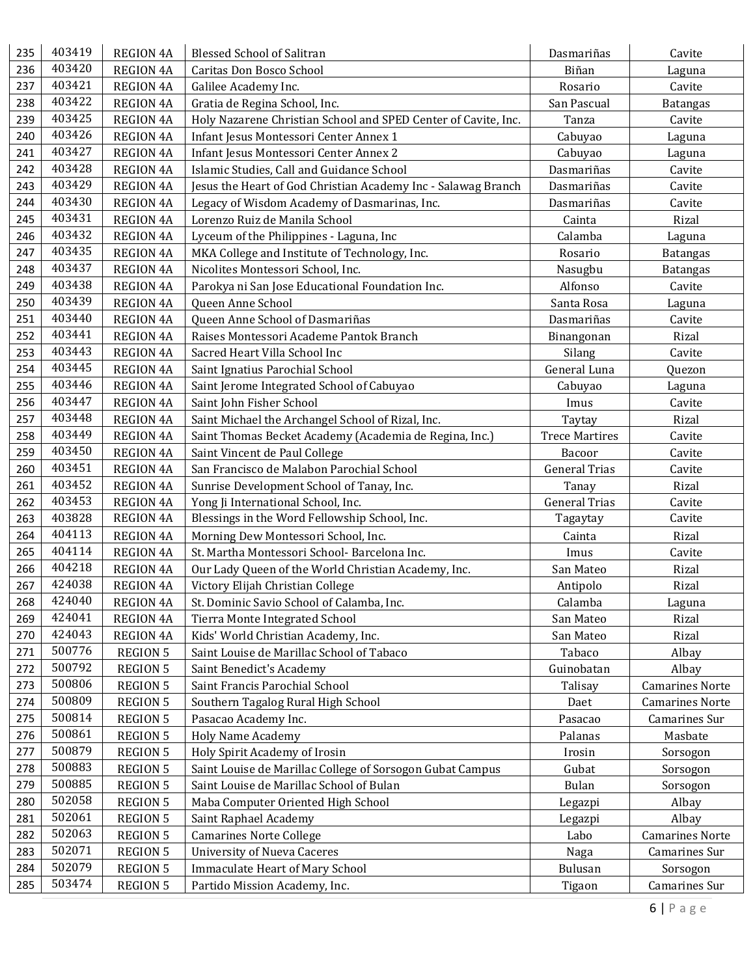| 235 | 403419 | <b>REGION 4A</b> | <b>Blessed School of Salitran</b>                              | Dasmariñas            | Cavite                 |
|-----|--------|------------------|----------------------------------------------------------------|-----------------------|------------------------|
| 236 | 403420 | <b>REGION 4A</b> | Caritas Don Bosco School                                       | Biñan                 | Laguna                 |
| 237 | 403421 | <b>REGION 4A</b> | Galilee Academy Inc.                                           | Rosario               | Cavite                 |
| 238 | 403422 | <b>REGION 4A</b> | Gratia de Regina School, Inc.                                  | San Pascual           | <b>Batangas</b>        |
| 239 | 403425 | <b>REGION 4A</b> | Holy Nazarene Christian School and SPED Center of Cavite, Inc. | Tanza                 | Cavite                 |
| 240 | 403426 | <b>REGION 4A</b> | Infant Jesus Montessori Center Annex 1                         | Cabuyao               | Laguna                 |
| 241 | 403427 | <b>REGION 4A</b> | Infant Jesus Montessori Center Annex 2                         | Cabuyao               | Laguna                 |
| 242 | 403428 | <b>REGION 4A</b> | Islamic Studies, Call and Guidance School                      | Dasmariñas            | Cavite                 |
| 243 | 403429 | <b>REGION 4A</b> | Jesus the Heart of God Christian Academy Inc - Salawag Branch  | Dasmariñas            | Cavite                 |
| 244 | 403430 | <b>REGION 4A</b> | Legacy of Wisdom Academy of Dasmarinas, Inc.                   | Dasmariñas            | Cavite                 |
| 245 | 403431 | <b>REGION 4A</b> | Lorenzo Ruiz de Manila School                                  | Cainta                | Rizal                  |
| 246 | 403432 | <b>REGION 4A</b> | Lyceum of the Philippines - Laguna, Inc                        | Calamba               | Laguna                 |
| 247 | 403435 | <b>REGION 4A</b> | MKA College and Institute of Technology, Inc.                  | Rosario               | <b>Batangas</b>        |
| 248 | 403437 | <b>REGION 4A</b> | Nicolites Montessori School, Inc.                              | Nasugbu               | <b>Batangas</b>        |
| 249 | 403438 | <b>REGION 4A</b> | Parokya ni San Jose Educational Foundation Inc.                | Alfonso               | Cavite                 |
| 250 | 403439 | <b>REGION 4A</b> | Queen Anne School                                              | Santa Rosa            | Laguna                 |
| 251 | 403440 | <b>REGION 4A</b> | Queen Anne School of Dasmariñas                                | Dasmariñas            | Cavite                 |
| 252 | 403441 | <b>REGION 4A</b> | Raises Montessori Academe Pantok Branch                        | Binangonan            | Rizal                  |
| 253 | 403443 | <b>REGION 4A</b> | Sacred Heart Villa School Inc                                  | Silang                | Cavite                 |
| 254 | 403445 | <b>REGION 4A</b> | Saint Ignatius Parochial School                                | General Luna          | Quezon                 |
| 255 | 403446 | <b>REGION 4A</b> | Saint Jerome Integrated School of Cabuyao                      | Cabuyao               | Laguna                 |
| 256 | 403447 | <b>REGION 4A</b> | Saint John Fisher School                                       | Imus                  | Cavite                 |
| 257 | 403448 | <b>REGION 4A</b> | Saint Michael the Archangel School of Rizal, Inc.              | Taytay                | Rizal                  |
| 258 | 403449 | <b>REGION 4A</b> | Saint Thomas Becket Academy (Academia de Regina, Inc.)         | <b>Trece Martires</b> | Cavite                 |
| 259 | 403450 | <b>REGION 4A</b> | Saint Vincent de Paul College                                  | Bacoor                | Cavite                 |
| 260 | 403451 | <b>REGION 4A</b> | San Francisco de Malabon Parochial School                      | <b>General Trias</b>  | Cavite                 |
| 261 | 403452 | <b>REGION 4A</b> | Sunrise Development School of Tanay, Inc.                      | Tanay                 | Rizal                  |
| 262 | 403453 | <b>REGION 4A</b> | Yong Ji International School, Inc.                             | <b>General Trias</b>  | Cavite                 |
| 263 | 403828 | <b>REGION 4A</b> | Blessings in the Word Fellowship School, Inc.                  | Tagaytay              | Cavite                 |
| 264 | 404113 | <b>REGION 4A</b> | Morning Dew Montessori School, Inc.                            | Cainta                | Rizal                  |
| 265 | 404114 | <b>REGION 4A</b> | St. Martha Montessori School- Barcelona Inc.                   | Imus                  | Cavite                 |
| 266 | 404218 | <b>REGION 4A</b> | Our Lady Queen of the World Christian Academy, Inc.            | San Mateo             | Rizal                  |
| 267 | 424038 | <b>REGION 4A</b> | Victory Elijah Christian College                               | Antipolo              | Rizal                  |
| 268 | 424040 | <b>REGION 4A</b> | St. Dominic Savio School of Calamba, Inc.                      | Calamba               | Laguna                 |
| 269 | 424041 | <b>REGION 4A</b> | Tierra Monte Integrated School                                 | San Mateo             | Rizal                  |
| 270 | 424043 | <b>REGION 4A</b> | Kids' World Christian Academy, Inc.                            | San Mateo             | Rizal                  |
| 271 | 500776 | <b>REGION 5</b>  | Saint Louise de Marillac School of Tabaco                      | Tabaco                | Albay                  |
| 272 | 500792 | <b>REGION 5</b>  | Saint Benedict's Academy                                       | Guinobatan            | Albay                  |
| 273 | 500806 | <b>REGION 5</b>  | Saint Francis Parochial School                                 | Talisay               | <b>Camarines Norte</b> |
| 274 | 500809 | <b>REGION 5</b>  | Southern Tagalog Rural High School                             | Daet                  | <b>Camarines Norte</b> |
| 275 | 500814 | <b>REGION 5</b>  | Pasacao Academy Inc.                                           | Pasacao               | Camarines Sur          |
| 276 | 500861 | <b>REGION 5</b>  | <b>Holy Name Academy</b>                                       | Palanas               | Masbate                |
| 277 | 500879 | <b>REGION 5</b>  | Holy Spirit Academy of Irosin                                  | Irosin                | Sorsogon               |
| 278 | 500883 | <b>REGION 5</b>  | Saint Louise de Marillac College of Sorsogon Gubat Campus      | Gubat                 | Sorsogon               |
| 279 | 500885 | <b>REGION 5</b>  | Saint Louise de Marillac School of Bulan                       | <b>Bulan</b>          | Sorsogon               |
| 280 | 502058 | <b>REGION 5</b>  | Maba Computer Oriented High School                             | Legazpi               | Albay                  |
| 281 | 502061 | <b>REGION 5</b>  | Saint Raphael Academy                                          | Legazpi               | Albay                  |
| 282 | 502063 | <b>REGION 5</b>  | <b>Camarines Norte College</b>                                 | Labo                  | <b>Camarines Norte</b> |
| 283 | 502071 | <b>REGION 5</b>  | <b>University of Nueva Caceres</b>                             | Naga                  | Camarines Sur          |
| 284 | 502079 | <b>REGION 5</b>  | <b>Immaculate Heart of Mary School</b>                         | Bulusan               | Sorsogon               |
| 285 | 503474 | <b>REGION 5</b>  | Partido Mission Academy, Inc.                                  | Tigaon                | Camarines Sur          |
|     |        |                  |                                                                |                       |                        |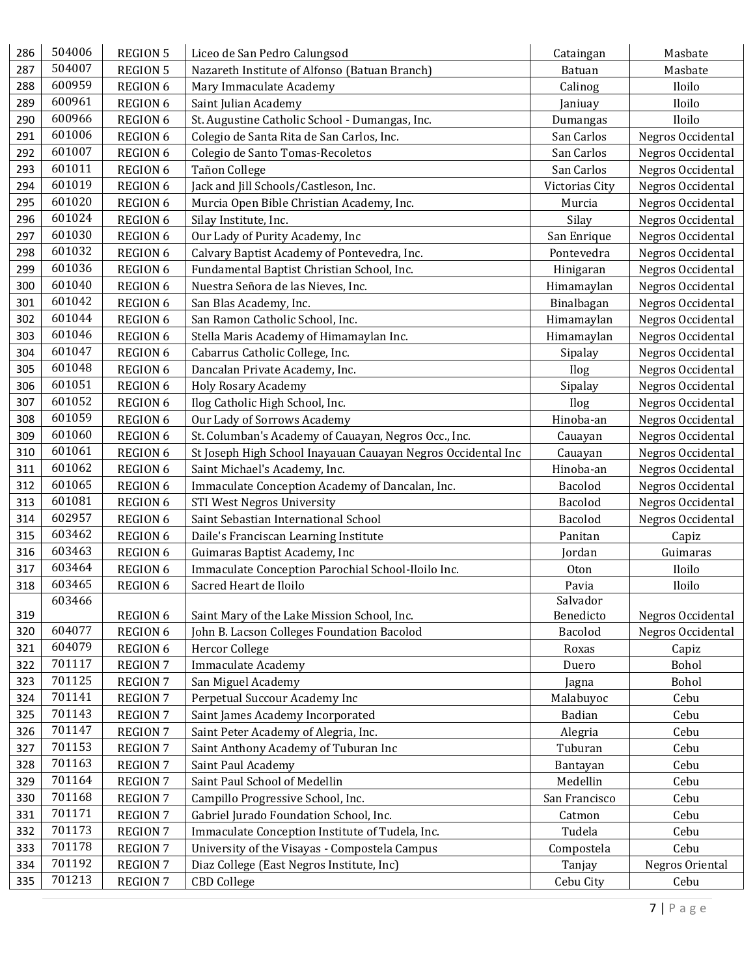| 286 | 504006 | <b>REGION 5</b> | Liceo de San Pedro Calungsod                                 | Cataingan             | Masbate           |
|-----|--------|-----------------|--------------------------------------------------------------|-----------------------|-------------------|
| 287 | 504007 | <b>REGION 5</b> | Nazareth Institute of Alfonso (Batuan Branch)                | Batuan                | Masbate           |
| 288 | 600959 | REGION 6        | Mary Immaculate Academy                                      | Calinog               | Iloilo            |
| 289 | 600961 | REGION 6        | Saint Julian Academy                                         | Janiuay               | Iloilo            |
| 290 | 600966 | REGION 6        | St. Augustine Catholic School - Dumangas, Inc.               | Dumangas              | Iloilo            |
| 291 | 601006 | REGION 6        | Colegio de Santa Rita de San Carlos, Inc.                    | San Carlos            | Negros Occidental |
| 292 | 601007 | <b>REGION 6</b> | Colegio de Santo Tomas-Recoletos                             | San Carlos            | Negros Occidental |
| 293 | 601011 | REGION 6        | Tañon College                                                | San Carlos            | Negros Occidental |
| 294 | 601019 | REGION 6        | Jack and Jill Schools/Castleson, Inc.                        | <b>Victorias City</b> | Negros Occidental |
| 295 | 601020 | REGION 6        | Murcia Open Bible Christian Academy, Inc.                    | Murcia                | Negros Occidental |
| 296 | 601024 | REGION 6        | Silay Institute, Inc.                                        | Silay                 | Negros Occidental |
| 297 | 601030 | REGION 6        | Our Lady of Purity Academy, Inc                              | San Enrique           | Negros Occidental |
| 298 | 601032 | REGION 6        | Calvary Baptist Academy of Pontevedra, Inc.                  | Pontevedra            | Negros Occidental |
| 299 | 601036 | REGION 6        | Fundamental Baptist Christian School, Inc.                   | Hinigaran             | Negros Occidental |
| 300 | 601040 | REGION 6        | Nuestra Señora de las Nieves, Inc.                           | Himamaylan            | Negros Occidental |
| 301 | 601042 | REGION 6        | San Blas Academy, Inc.                                       | Binalbagan            | Negros Occidental |
| 302 | 601044 | REGION 6        | San Ramon Catholic School, Inc.                              | Himamaylan            | Negros Occidental |
| 303 | 601046 | REGION 6        | Stella Maris Academy of Himamaylan Inc.                      | Himamaylan            | Negros Occidental |
| 304 | 601047 | REGION 6        | Cabarrus Catholic College, Inc.                              | Sipalay               | Negros Occidental |
| 305 | 601048 | REGION 6        | Dancalan Private Academy, Inc.                               | Ilog                  | Negros Occidental |
| 306 | 601051 | REGION 6        | <b>Holy Rosary Academy</b>                                   | Sipalay               | Negros Occidental |
| 307 | 601052 | REGION 6        | Ilog Catholic High School, Inc.                              | Ilog                  | Negros Occidental |
| 308 | 601059 | REGION 6        | Our Lady of Sorrows Academy                                  | Hinoba-an             | Negros Occidental |
| 309 | 601060 | REGION 6        | St. Columban's Academy of Cauayan, Negros Occ., Inc.         | Cauayan               | Negros Occidental |
| 310 | 601061 | <b>REGION 6</b> | St Joseph High School Inayauan Cauayan Negros Occidental Inc | Cauayan               | Negros Occidental |
| 311 | 601062 | REGION 6        | Saint Michael's Academy, Inc.                                | Hinoba-an             | Negros Occidental |
| 312 | 601065 | REGION 6        | Immaculate Conception Academy of Dancalan, Inc.              | Bacolod               | Negros Occidental |
| 313 | 601081 | REGION 6        | <b>STI West Negros University</b>                            | Bacolod               | Negros Occidental |
| 314 | 602957 | REGION 6        | Saint Sebastian International School                         | Bacolod               | Negros Occidental |
| 315 | 603462 | REGION 6        | Daile's Franciscan Learning Institute                        | Panitan               | Capiz             |
| 316 | 603463 | REGION 6        | Guimaras Baptist Academy, Inc                                | Jordan                | Guimaras          |
| 317 | 603464 | REGION 6        | Immaculate Conception Parochial School-Iloilo Inc.           | Oton                  | Iloilo            |
| 318 | 603465 | <b>REGION 6</b> | Sacred Heart de Iloilo                                       | Pavia                 | Iloilo            |
|     | 603466 |                 |                                                              | Salvador              |                   |
| 319 |        | <b>REGION 6</b> | Saint Mary of the Lake Mission School, Inc.                  | Benedicto             | Negros Occidental |
| 320 | 604077 | REGION 6        | John B. Lacson Colleges Foundation Bacolod                   | Bacolod               | Negros Occidental |
| 321 | 604079 | REGION 6        | <b>Hercor College</b>                                        | Roxas                 | Capiz             |
| 322 | 701117 | REGION 7        | <b>Immaculate Academy</b>                                    | Duero                 | Bohol             |
| 323 | 701125 | <b>REGION 7</b> | San Miguel Academy                                           | Jagna                 | Bohol             |
| 324 | 701141 | <b>REGION 7</b> | Perpetual Succour Academy Inc                                | Malabuyoc             | Cebu              |
| 325 | 701143 | <b>REGION 7</b> | Saint James Academy Incorporated                             | Badian                | Cebu              |
| 326 | 701147 | REGION 7        | Saint Peter Academy of Alegria, Inc.                         | Alegria               | Cebu              |
| 327 | 701153 | <b>REGION 7</b> | Saint Anthony Academy of Tuburan Inc                         | Tuburan               | Cebu              |
| 328 | 701163 | <b>REGION 7</b> | Saint Paul Academy                                           | Bantayan              | Cebu              |
| 329 | 701164 | <b>REGION 7</b> | Saint Paul School of Medellin                                | Medellin              | Cebu              |
| 330 | 701168 | REGION 7        | Campillo Progressive School, Inc.                            | San Francisco         | Cebu              |
| 331 | 701171 | <b>REGION 7</b> | Gabriel Jurado Foundation School, Inc.                       | Catmon                | Cebu              |
| 332 | 701173 | <b>REGION 7</b> | Immaculate Conception Institute of Tudela, Inc.              | Tudela                | Cebu              |
| 333 | 701178 | <b>REGION 7</b> | University of the Visayas - Compostela Campus                | Compostela            | Cebu              |
| 334 | 701192 | REGION 7        | Diaz College (East Negros Institute, Inc)                    | Tanjay                | Negros Oriental   |
| 335 | 701213 | <b>REGION 7</b> | <b>CBD</b> College                                           | Cebu City             | Cebu              |
|     |        |                 |                                                              |                       |                   |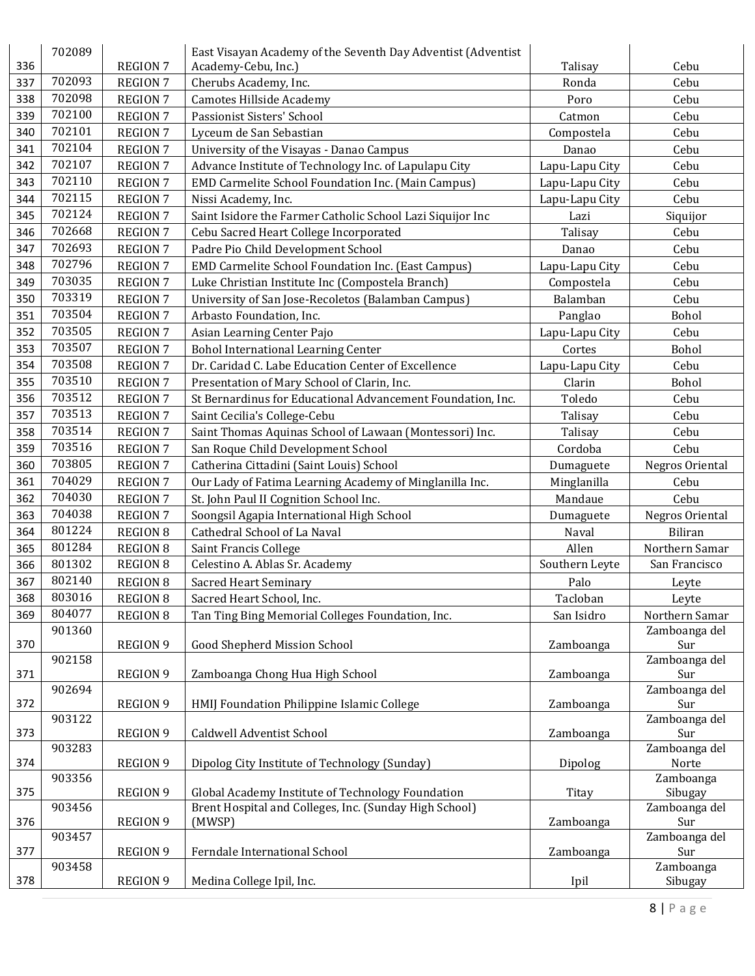|     | 702089 |                 | East Visayan Academy of the Seventh Day Adventist (Adventist |                |                      |
|-----|--------|-----------------|--------------------------------------------------------------|----------------|----------------------|
| 336 |        | <b>REGION 7</b> | Academy-Cebu, Inc.)                                          | Talisay        | Cebu                 |
| 337 | 702093 | <b>REGION 7</b> | Cherubs Academy, Inc.                                        | Ronda          | Cebu                 |
| 338 | 702098 | <b>REGION 7</b> | Camotes Hillside Academy                                     | Poro           | Cebu                 |
| 339 | 702100 | <b>REGION 7</b> | Passionist Sisters' School                                   | Catmon         | Cebu                 |
| 340 | 702101 | <b>REGION 7</b> | Lyceum de San Sebastian                                      | Compostela     | Cebu                 |
| 341 | 702104 | <b>REGION 7</b> | University of the Visayas - Danao Campus                     | Danao          | Cebu                 |
| 342 | 702107 | <b>REGION 7</b> | Advance Institute of Technology Inc. of Lapulapu City        | Lapu-Lapu City | Cebu                 |
| 343 | 702110 | <b>REGION 7</b> | EMD Carmelite School Foundation Inc. (Main Campus)           | Lapu-Lapu City | Cebu                 |
| 344 | 702115 | <b>REGION 7</b> | Nissi Academy, Inc.                                          | Lapu-Lapu City | Cebu                 |
| 345 | 702124 | <b>REGION 7</b> | Saint Isidore the Farmer Catholic School Lazi Siquijor Inc   | Lazi           | Siquijor             |
| 346 | 702668 | <b>REGION 7</b> | Cebu Sacred Heart College Incorporated                       | Talisay        | Cebu                 |
| 347 | 702693 | <b>REGION 7</b> | Padre Pio Child Development School                           | Danao          | Cebu                 |
| 348 | 702796 | <b>REGION 7</b> | EMD Carmelite School Foundation Inc. (East Campus)           | Lapu-Lapu City | Cebu                 |
| 349 | 703035 | <b>REGION 7</b> | Luke Christian Institute Inc (Compostela Branch)             | Compostela     | Cebu                 |
| 350 | 703319 | <b>REGION 7</b> | University of San Jose-Recoletos (Balamban Campus)           | Balamban       | Cebu                 |
| 351 | 703504 | <b>REGION 7</b> | Arbasto Foundation, Inc.                                     | Panglao        | Bohol                |
| 352 | 703505 | <b>REGION 7</b> | Asian Learning Center Pajo                                   | Lapu-Lapu City | Cebu                 |
| 353 | 703507 | <b>REGION 7</b> | <b>Bohol International Learning Center</b>                   | Cortes         | Bohol                |
| 354 | 703508 | <b>REGION 7</b> | Dr. Caridad C. Labe Education Center of Excellence           |                | Cebu                 |
| 355 | 703510 |                 |                                                              | Lapu-Lapu City |                      |
|     | 703512 | <b>REGION 7</b> | Presentation of Mary School of Clarin, Inc.                  | Clarin         | Bohol                |
| 356 | 703513 | <b>REGION 7</b> | St Bernardinus for Educational Advancement Foundation, Inc.  | Toledo         | Cebu                 |
| 357 |        | <b>REGION 7</b> | Saint Cecilia's College-Cebu                                 | Talisay        | Cebu                 |
| 358 | 703514 | <b>REGION 7</b> | Saint Thomas Aquinas School of Lawaan (Montessori) Inc.      | Talisay        | Cebu                 |
| 359 | 703516 | <b>REGION 7</b> | San Roque Child Development School                           | Cordoba        | Cebu                 |
| 360 | 703805 | <b>REGION 7</b> | Catherina Cittadini (Saint Louis) School                     | Dumaguete      | Negros Oriental      |
| 361 | 704029 | <b>REGION 7</b> | Our Lady of Fatima Learning Academy of Minglanilla Inc.      | Minglanilla    | Cebu                 |
| 362 | 704030 | <b>REGION 7</b> | St. John Paul II Cognition School Inc.                       | Mandaue        | Cebu                 |
| 363 | 704038 | <b>REGION 7</b> | Soongsil Agapia International High School                    | Dumaguete      | Negros Oriental      |
| 364 | 801224 | <b>REGION 8</b> | Cathedral School of La Naval                                 | Naval          | Biliran              |
| 365 | 801284 | <b>REGION 8</b> | Saint Francis College                                        | Allen          | Northern Samar       |
| 366 | 801302 | <b>REGION 8</b> | Celestino A. Ablas Sr. Academy                               | Southern Leyte | San Francisco        |
| 367 | 802140 | <b>REGION 8</b> | <b>Sacred Heart Seminary</b>                                 | Palo           | Leyte                |
| 368 | 803016 | <b>REGION 8</b> | Sacred Heart School, Inc.                                    | Tacloban       | Leyte                |
| 369 | 804077 | <b>REGION 8</b> | Tan Ting Bing Memorial Colleges Foundation, Inc.             | San Isidro     | Northern Samar       |
|     | 901360 |                 |                                                              |                | Zamboanga del        |
| 370 |        | <b>REGION 9</b> | Good Shepherd Mission School                                 | Zamboanga      | Sur                  |
|     | 902158 |                 |                                                              |                | Zamboanga del        |
| 371 | 902694 | <b>REGION 9</b> | Zamboanga Chong Hua High School                              | Zamboanga      | Sur<br>Zamboanga del |
| 372 |        | <b>REGION 9</b> | HMIJ Foundation Philippine Islamic College                   | Zamboanga      | Sur                  |
|     | 903122 |                 |                                                              |                | Zamboanga del        |
| 373 |        | <b>REGION 9</b> | Caldwell Adventist School                                    | Zamboanga      | Sur                  |
|     | 903283 |                 |                                                              |                | Zamboanga del        |
| 374 |        | <b>REGION 9</b> | Dipolog City Institute of Technology (Sunday)                | Dipolog        | Norte                |
|     | 903356 |                 |                                                              |                | Zamboanga            |
| 375 |        | <b>REGION 9</b> | Global Academy Institute of Technology Foundation            | Titay          | Sibugay              |
|     | 903456 |                 | Brent Hospital and Colleges, Inc. (Sunday High School)       |                | Zamboanga del        |
| 376 |        | <b>REGION 9</b> | (MWSP)                                                       | Zamboanga      | Sur                  |
|     | 903457 |                 |                                                              |                | Zamboanga del        |
| 377 | 903458 | <b>REGION 9</b> | Ferndale International School                                | Zamboanga      | Sur<br>Zamboanga     |
| 378 |        | REGION 9        | Medina College Ipil, Inc.                                    | Ipil           | Sibugay              |
|     |        |                 |                                                              |                |                      |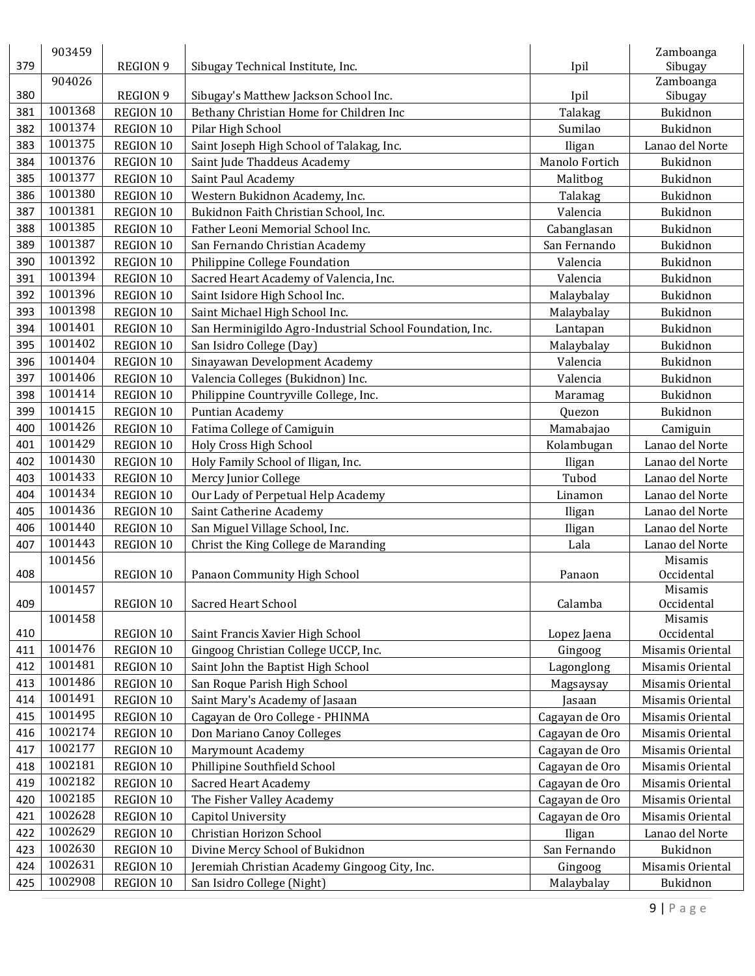| 379 | 903459             | <b>REGION 9</b> | Sibugay Technical Institute, Inc.                        | Ipil           | Zamboanga<br>Sibugay |
|-----|--------------------|-----------------|----------------------------------------------------------|----------------|----------------------|
|     | 904026             |                 |                                                          |                | Zamboanga            |
| 380 |                    | <b>REGION 9</b> | Sibugay's Matthew Jackson School Inc.                    | Ipil           | Sibugay              |
| 381 | 1001368            | REGION 10       | Bethany Christian Home for Children Inc                  | Talakag        | Bukidnon             |
| 382 | 1001374            | REGION 10       | Pilar High School                                        | Sumilao        | Bukidnon             |
| 383 | 1001375            | REGION 10       | Saint Joseph High School of Talakag, Inc.                | Iligan         | Lanao del Norte      |
| 384 | 1001376            | REGION 10       | Saint Jude Thaddeus Academy                              | Manolo Fortich | Bukidnon             |
| 385 | 1001377            | REGION 10       | Saint Paul Academy                                       | Malitbog       | Bukidnon             |
| 386 | 1001380            | REGION 10       | Western Bukidnon Academy, Inc.                           | Talakag        | Bukidnon             |
| 387 | 1001381            | REGION 10       | Bukidnon Faith Christian School, Inc.                    | Valencia       | Bukidnon             |
| 388 | 1001385            | REGION 10       | Father Leoni Memorial School Inc.                        | Cabanglasan    | Bukidnon             |
| 389 | 1001387            | REGION 10       | San Fernando Christian Academy                           | San Fernando   | Bukidnon             |
| 390 | 1001392            | REGION 10       | Philippine College Foundation                            | Valencia       | Bukidnon             |
| 391 | 1001394            | REGION 10       | Sacred Heart Academy of Valencia, Inc.                   | Valencia       | Bukidnon             |
| 392 | 1001396            | REGION 10       | Saint Isidore High School Inc.                           | Malaybalay     | Bukidnon             |
| 393 | 1001398            | REGION 10       | Saint Michael High School Inc.                           | Malaybalay     | Bukidnon             |
| 394 | 1001401            | REGION 10       | San Herminigildo Agro-Industrial School Foundation, Inc. | Lantapan       | Bukidnon             |
| 395 | 1001402            | REGION 10       | San Isidro College (Day)                                 | Malaybalay     | Bukidnon             |
| 396 | 1001404            | REGION 10       | Sinayawan Development Academy                            | Valencia       | Bukidnon             |
| 397 | 1001406            | REGION 10       | Valencia Colleges (Bukidnon) Inc.                        | Valencia       | Bukidnon             |
| 398 | 1001414            | REGION 10       | Philippine Countryville College, Inc.                    | Maramag        | Bukidnon             |
| 399 | 1001415            | REGION 10       | Puntian Academy                                          | Quezon         | Bukidnon             |
| 400 | 1001426            | REGION 10       | Fatima College of Camiguin                               | Mamabajao      | Camiguin             |
| 401 | 1001429            | REGION 10       | Holy Cross High School                                   | Kolambugan     | Lanao del Norte      |
| 402 | 1001430            | REGION 10       | Holy Family School of Iligan, Inc.                       | Iligan         | Lanao del Norte      |
| 403 | 1001433            | REGION 10       | Mercy Junior College                                     | Tubod          | Lanao del Norte      |
| 404 | 1001434            | REGION 10       | Our Lady of Perpetual Help Academy                       | Linamon        | Lanao del Norte      |
| 405 | 1001436            | REGION 10       | Saint Catherine Academy                                  | Iligan         | Lanao del Norte      |
| 406 | 1001440            | REGION 10       | San Miguel Village School, Inc.                          | Iligan         | Lanao del Norte      |
| 407 | 1001443            | REGION 10       | Christ the King College de Maranding                     | Lala           | Lanao del Norte      |
|     | 1001456            |                 |                                                          |                | Misamis              |
| 408 |                    | REGION 10       | Panaon Community High School                             | Panaon         | Occidental           |
|     | 1001457            |                 |                                                          |                | Misamis              |
| 409 |                    | REGION 10       | Sacred Heart School                                      | Calamba        | Occidental           |
|     | 1001458            |                 |                                                          |                | Misamis              |
| 410 |                    | REGION 10       | Saint Francis Xavier High School                         | Lopez Jaena    | Occidental           |
| 411 | 1001476<br>1001481 | REGION 10       | Gingoog Christian College UCCP, Inc.                     | Gingoog        | Misamis Oriental     |
| 412 | 1001486            | REGION 10       | Saint John the Baptist High School                       | Lagonglong     | Misamis Oriental     |
| 413 | 1001491            | REGION 10       | San Roque Parish High School                             | Magsaysay      | Misamis Oriental     |
| 414 | 1001495            | REGION 10       | Saint Mary's Academy of Jasaan                           | Jasaan         | Misamis Oriental     |
| 415 | 1002174            | REGION 10       | Cagayan de Oro College - PHINMA                          | Cagayan de Oro | Misamis Oriental     |
| 416 |                    | REGION 10       | Don Mariano Canoy Colleges                               | Cagayan de Oro | Misamis Oriental     |
| 417 | 1002177            | REGION 10       | <b>Marymount Academy</b>                                 | Cagayan de Oro | Misamis Oriental     |
| 418 | 1002181            | REGION 10       | Phillipine Southfield School                             | Cagayan de Oro | Misamis Oriental     |
| 419 | 1002182            | REGION 10       | <b>Sacred Heart Academy</b>                              | Cagayan de Oro | Misamis Oriental     |
| 420 | 1002185            | REGION 10       | The Fisher Valley Academy                                | Cagayan de Oro | Misamis Oriental     |
| 421 | 1002628            | REGION 10       | Capitol University                                       | Cagayan de Oro | Misamis Oriental     |
| 422 | 1002629            | REGION 10       | Christian Horizon School                                 | Iligan         | Lanao del Norte      |
| 423 | 1002630            | REGION 10       | Divine Mercy School of Bukidnon                          | San Fernando   | Bukidnon             |
| 424 | 1002631            | REGION 10       | Jeremiah Christian Academy Gingoog City, Inc.            | Gingoog        | Misamis Oriental     |
| 425 | 1002908            | REGION 10       | San Isidro College (Night)                               | Malaybalay     | Bukidnon             |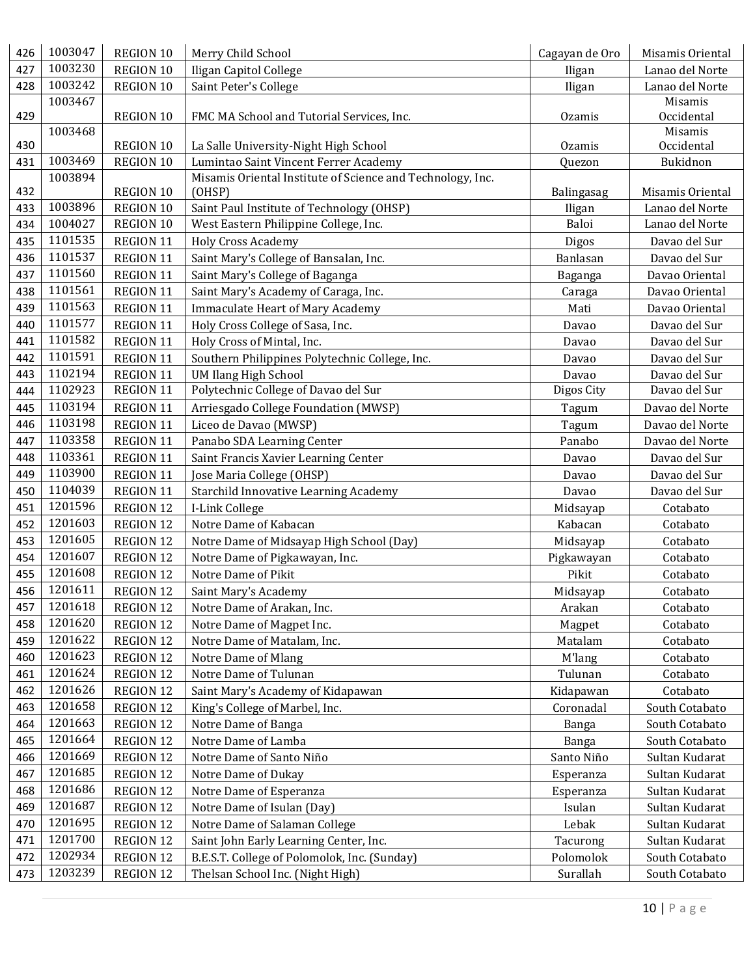| 426 | 1003047 | REGION 10 | Merry Child School                                                                                  | Cagayan de Oro | Misamis Oriental |
|-----|---------|-----------|-----------------------------------------------------------------------------------------------------|----------------|------------------|
| 427 | 1003230 | REGION 10 | Iligan Capitol College                                                                              | Iligan         | Lanao del Norte  |
| 428 | 1003242 | REGION 10 | Saint Peter's College                                                                               | Iligan         | Lanao del Norte  |
|     | 1003467 |           |                                                                                                     |                | Misamis          |
| 429 |         | REGION 10 | FMC MA School and Tutorial Services, Inc.                                                           | <b>Ozamis</b>  | Occidental       |
|     | 1003468 |           |                                                                                                     |                | Misamis          |
| 430 | 1003469 | REGION 10 | La Salle University-Night High School                                                               | <b>Ozamis</b>  | Occidental       |
| 431 | 1003894 | REGION 10 | Lumintao Saint Vincent Ferrer Academy<br>Misamis Oriental Institute of Science and Technology, Inc. | Quezon         | Bukidnon         |
| 432 |         | REGION 10 | (OHSP)                                                                                              | Balingasag     | Misamis Oriental |
| 433 | 1003896 | REGION 10 | Saint Paul Institute of Technology (OHSP)                                                           | Iligan         | Lanao del Norte  |
| 434 | 1004027 | REGION 10 | West Eastern Philippine College, Inc.                                                               | Baloi          | Lanao del Norte  |
| 435 | 1101535 | REGION 11 | <b>Holy Cross Academy</b>                                                                           | Digos          | Davao del Sur    |
| 436 | 1101537 | REGION 11 | Saint Mary's College of Bansalan, Inc.                                                              | Banlasan       | Davao del Sur    |
| 437 | 1101560 | REGION 11 | Saint Mary's College of Baganga                                                                     | Baganga        | Davao Oriental   |
| 438 | 1101561 | REGION 11 | Saint Mary's Academy of Caraga, Inc.                                                                | Caraga         | Davao Oriental   |
| 439 | 1101563 | REGION 11 | <b>Immaculate Heart of Mary Academy</b>                                                             | Mati           | Davao Oriental   |
| 440 | 1101577 | REGION 11 | Holy Cross College of Sasa, Inc.                                                                    | Davao          | Davao del Sur    |
| 441 | 1101582 | REGION 11 | Holy Cross of Mintal, Inc.                                                                          | Davao          | Davao del Sur    |
| 442 | 1101591 | REGION 11 | Southern Philippines Polytechnic College, Inc.                                                      | Davao          | Davao del Sur    |
| 443 | 1102194 | REGION 11 | <b>UM Ilang High School</b>                                                                         | Davao          | Davao del Sur    |
| 444 | 1102923 | REGION 11 | Polytechnic College of Davao del Sur                                                                | Digos City     | Davao del Sur    |
| 445 | 1103194 | REGION 11 | Arriesgado College Foundation (MWSP)                                                                | Tagum          | Davao del Norte  |
| 446 | 1103198 | REGION 11 | Liceo de Davao (MWSP)                                                                               | Tagum          | Davao del Norte  |
| 447 | 1103358 | REGION 11 | Panabo SDA Learning Center                                                                          | Panabo         | Davao del Norte  |
| 448 | 1103361 | REGION 11 | Saint Francis Xavier Learning Center                                                                | Davao          | Davao del Sur    |
| 449 | 1103900 | REGION 11 | Jose Maria College (OHSP)                                                                           | Davao          | Davao del Sur    |
| 450 | 1104039 | REGION 11 | Starchild Innovative Learning Academy                                                               | Davao          | Davao del Sur    |
| 451 | 1201596 | REGION 12 | I-Link College                                                                                      | Midsayap       | Cotabato         |
| 452 | 1201603 | REGION 12 | Notre Dame of Kabacan                                                                               | Kabacan        | Cotabato         |
| 453 | 1201605 | REGION 12 | Notre Dame of Midsayap High School (Day)                                                            | Midsayap       | Cotabato         |
| 454 | 1201607 | REGION 12 | Notre Dame of Pigkawayan, Inc.                                                                      | Pigkawayan     | Cotabato         |
| 455 | 1201608 | REGION 12 | Notre Dame of Pikit                                                                                 | Pikit          | Cotabato         |
| 456 | 1201611 | REGION 12 | Saint Mary's Academy                                                                                | Midsayap       | Cotabato         |
| 457 | 1201618 | REGION 12 | Notre Dame of Arakan, Inc.                                                                          | Arakan         | Cotabato         |
| 458 | 1201620 | REGION 12 | Notre Dame of Magpet Inc.                                                                           | Magpet         | Cotabato         |
| 459 | 1201622 | REGION 12 | Notre Dame of Matalam, Inc.                                                                         | Matalam        | Cotabato         |
| 460 | 1201623 | REGION 12 | Notre Dame of Mlang                                                                                 | M'lang         | Cotabato         |
| 461 | 1201624 | REGION 12 | Notre Dame of Tulunan                                                                               | Tulunan        | Cotabato         |
| 462 | 1201626 | REGION 12 | Saint Mary's Academy of Kidapawan                                                                   | Kidapawan      | Cotabato         |
| 463 | 1201658 | REGION 12 | King's College of Marbel, Inc.                                                                      | Coronadal      | South Cotabato   |
| 464 | 1201663 | REGION 12 | Notre Dame of Banga                                                                                 | Banga          | South Cotabato   |
| 465 | 1201664 | REGION 12 | Notre Dame of Lamba                                                                                 | Banga          | South Cotabato   |
| 466 | 1201669 | REGION 12 | Notre Dame of Santo Niño                                                                            | Santo Niño     | Sultan Kudarat   |
| 467 | 1201685 | REGION 12 | Notre Dame of Dukay                                                                                 | Esperanza      | Sultan Kudarat   |
| 468 | 1201686 | REGION 12 | Notre Dame of Esperanza                                                                             | Esperanza      | Sultan Kudarat   |
| 469 | 1201687 | REGION 12 | Notre Dame of Isulan (Day)                                                                          | Isulan         | Sultan Kudarat   |
| 470 | 1201695 | REGION 12 | Notre Dame of Salaman College                                                                       | Lebak          | Sultan Kudarat   |
| 471 | 1201700 | REGION 12 | Saint John Early Learning Center, Inc.                                                              | Tacurong       | Sultan Kudarat   |
| 472 | 1202934 | REGION 12 | B.E.S.T. College of Polomolok, Inc. (Sunday)                                                        | Polomolok      | South Cotabato   |
| 473 | 1203239 | REGION 12 | Thelsan School Inc. (Night High)                                                                    | Surallah       | South Cotabato   |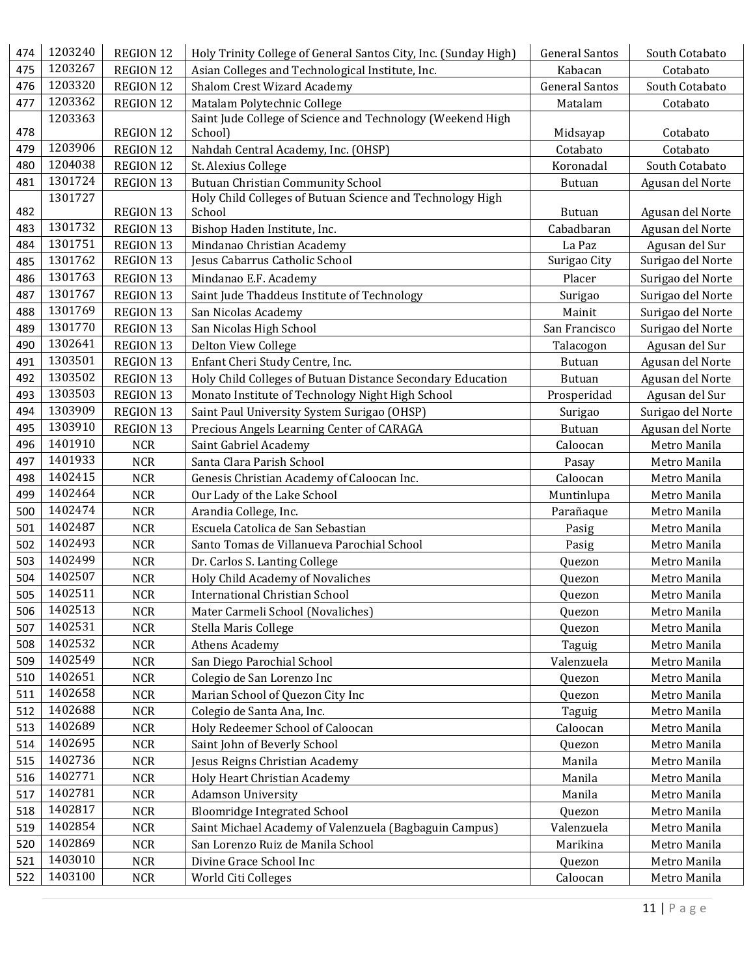| 474 | 1203240 | REGION 12        | Holy Trinity College of General Santos City, Inc. (Sunday High) | <b>General Santos</b> | South Cotabato    |
|-----|---------|------------------|-----------------------------------------------------------------|-----------------------|-------------------|
| 475 | 1203267 | REGION 12        | Asian Colleges and Technological Institute, Inc.                | Kabacan               | Cotabato          |
| 476 | 1203320 | REGION 12        | Shalom Crest Wizard Academy                                     | <b>General Santos</b> | South Cotabato    |
| 477 | 1203362 | REGION 12        | Matalam Polytechnic College                                     | Matalam               | Cotabato          |
|     | 1203363 |                  | Saint Jude College of Science and Technology (Weekend High      |                       |                   |
| 478 |         | REGION 12        | School)                                                         | Midsayap              | Cotabato          |
| 479 | 1203906 | <b>REGION 12</b> | Nahdah Central Academy, Inc. (OHSP)                             | Cotabato              | Cotabato          |
| 480 | 1204038 | REGION 12        | St. Alexius College                                             | Koronadal             | South Cotabato    |
| 481 | 1301724 | REGION 13        | <b>Butuan Christian Community School</b>                        | <b>Butuan</b>         | Agusan del Norte  |
|     | 1301727 |                  | Holy Child Colleges of Butuan Science and Technology High       |                       |                   |
| 482 |         | <b>REGION 13</b> | School                                                          | <b>Butuan</b>         | Agusan del Norte  |
| 483 | 1301732 | REGION 13        | Bishop Haden Institute, Inc.                                    | Cabadbaran            | Agusan del Norte  |
| 484 | 1301751 | REGION 13        | Mindanao Christian Academy                                      | La Paz                | Agusan del Sur    |
| 485 | 1301762 | REGION 13        | Jesus Cabarrus Catholic School                                  | Surigao City          | Surigao del Norte |
| 486 | 1301763 | REGION 13        | Mindanao E.F. Academy                                           | Placer                | Surigao del Norte |
| 487 | 1301767 | REGION 13        | Saint Jude Thaddeus Institute of Technology                     | Surigao               | Surigao del Norte |
| 488 | 1301769 | <b>REGION 13</b> | San Nicolas Academy                                             | Mainit                | Surigao del Norte |
| 489 | 1301770 | REGION 13        | San Nicolas High School                                         | San Francisco         | Surigao del Norte |
| 490 | 1302641 | REGION 13        | Delton View College                                             | Talacogon             | Agusan del Sur    |
| 491 | 1303501 | REGION 13        | Enfant Cheri Study Centre, Inc.                                 | <b>Butuan</b>         | Agusan del Norte  |
| 492 | 1303502 | REGION 13        | Holy Child Colleges of Butuan Distance Secondary Education      | <b>Butuan</b>         | Agusan del Norte  |
| 493 | 1303503 | REGION 13        | Monato Institute of Technology Night High School                | Prosperidad           | Agusan del Sur    |
| 494 | 1303909 | REGION 13        | Saint Paul University System Surigao (OHSP)                     | Surigao               | Surigao del Norte |
| 495 | 1303910 | REGION 13        | Precious Angels Learning Center of CARAGA                       | <b>Butuan</b>         | Agusan del Norte  |
| 496 | 1401910 | <b>NCR</b>       | Saint Gabriel Academy                                           | Caloocan              | Metro Manila      |
| 497 | 1401933 | <b>NCR</b>       | Santa Clara Parish School                                       | Pasay                 | Metro Manila      |
| 498 | 1402415 | <b>NCR</b>       | Genesis Christian Academy of Caloocan Inc.                      | Caloocan              | Metro Manila      |
| 499 | 1402464 | <b>NCR</b>       | Our Lady of the Lake School                                     | Muntinlupa            | Metro Manila      |
| 500 | 1402474 | <b>NCR</b>       | Arandia College, Inc.                                           | Parañaque             | Metro Manila      |
| 501 | 1402487 | <b>NCR</b>       | Escuela Catolica de San Sebastian                               | Pasig                 | Metro Manila      |
| 502 | 1402493 | <b>NCR</b>       | Santo Tomas de Villanueva Parochial School                      | Pasig                 | Metro Manila      |
| 503 | 1402499 | <b>NCR</b>       | Dr. Carlos S. Lanting College                                   | Quezon                | Metro Manila      |
| 504 | 1402507 | <b>NCR</b>       | Holy Child Academy of Novaliches                                | Quezon                | Metro Manila      |
| 505 | 1402511 | <b>NCR</b>       | International Christian School                                  | Quezon                | Metro Manila      |
| 506 | 1402513 | <b>NCR</b>       | Mater Carmeli School (Novaliches)                               | Quezon                | Metro Manila      |
| 507 | 1402531 | <b>NCR</b>       | Stella Maris College                                            | Quezon                | Metro Manila      |
| 508 | 1402532 | <b>NCR</b>       | <b>Athens Academy</b>                                           | Taguig                | Metro Manila      |
| 509 | 1402549 | <b>NCR</b>       | San Diego Parochial School                                      | Valenzuela            | Metro Manila      |
| 510 | 1402651 | <b>NCR</b>       | Colegio de San Lorenzo Inc                                      | Quezon                | Metro Manila      |
| 511 | 1402658 | <b>NCR</b>       | Marian School of Quezon City Inc                                | Quezon                | Metro Manila      |
| 512 | 1402688 | <b>NCR</b>       | Colegio de Santa Ana, Inc.                                      | Taguig                | Metro Manila      |
| 513 | 1402689 | <b>NCR</b>       | Holy Redeemer School of Caloocan                                | Caloocan              | Metro Manila      |
| 514 | 1402695 | <b>NCR</b>       | Saint John of Beverly School                                    | Quezon                | Metro Manila      |
| 515 | 1402736 | <b>NCR</b>       | Jesus Reigns Christian Academy                                  | Manila                | Metro Manila      |
| 516 | 1402771 | <b>NCR</b>       | Holy Heart Christian Academy                                    | Manila                | Metro Manila      |
| 517 | 1402781 | <b>NCR</b>       | <b>Adamson University</b>                                       | Manila                | Metro Manila      |
| 518 | 1402817 | <b>NCR</b>       | <b>Bloomridge Integrated School</b>                             | Quezon                | Metro Manila      |
| 519 | 1402854 | <b>NCR</b>       | Saint Michael Academy of Valenzuela (Bagbaguin Campus)          | Valenzuela            | Metro Manila      |
| 520 | 1402869 | <b>NCR</b>       | San Lorenzo Ruiz de Manila School                               | Marikina              | Metro Manila      |
| 521 | 1403010 | <b>NCR</b>       | Divine Grace School Inc                                         | Quezon                | Metro Manila      |
| 522 | 1403100 | <b>NCR</b>       | World Citi Colleges                                             | Caloocan              | Metro Manila      |
|     |         |                  |                                                                 |                       |                   |